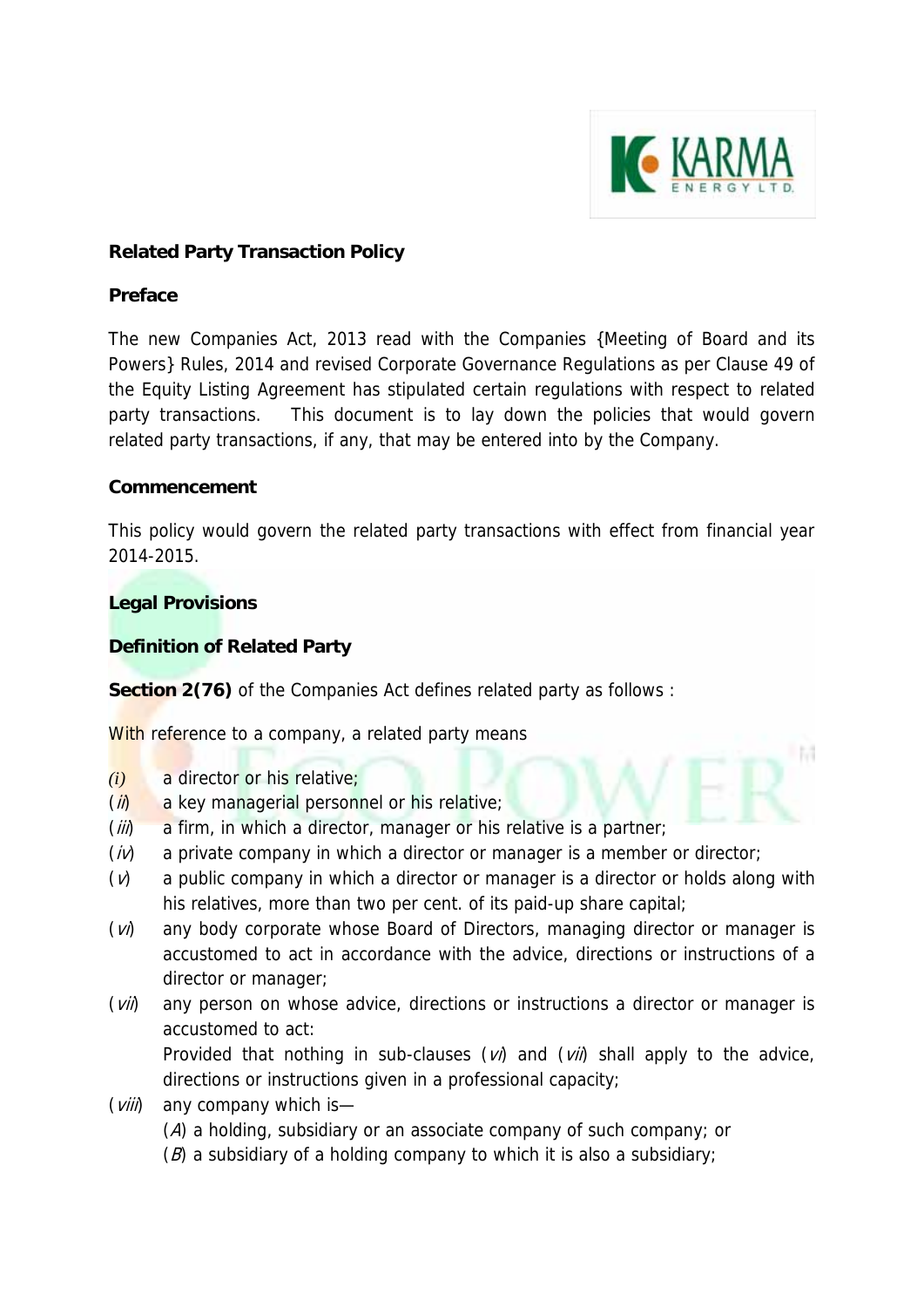

L Bill

# **Related Party Transaction Policy**

### **Preface**

The new Companies Act, 2013 read with the Companies {Meeting of Board and its Powers} Rules, 2014 and revised Corporate Governance Regulations as per Clause 49 of the Equity Listing Agreement has stipulated certain regulations with respect to related party transactions. This document is to lay down the policies that would govern related party transactions, if any, that may be entered into by the Company.

### **Commencement**

This policy would govern the related party transactions with effect from financial year 2014-2015.

## **Legal Provisions**

# **Definition of Related Party**

**Section 2(76)** of the Companies Act defines related party as follows :

With reference to a company, a related party means

- *(i)* a director or his relative;
- $(i)$  a key managerial personnel or his relative;
- $(iii)$  a firm, in which a director, manager or his relative is a partner;
- $(i)$  a private company in which a director or manager is a member or director;
- $(v)$  a public company in which a director or manager is a director or holds along with his relatives, more than two per cent. of its paid-up share capital;
- (v) any body corporate whose Board of Directors, managing director or manager is accustomed to act in accordance with the advice, directions or instructions of a director or manager;
- $(vii)$  any person on whose advice, directions or instructions a director or manager is accustomed to act:

Provided that nothing in sub-clauses  $(vi)$  and  $(vii)$  shall apply to the advice, directions or instructions given in a professional capacity;

- $(vii)$  any company which is—
	- (A) a holding, subsidiary or an associate company of such company; or
	- $(B)$  a subsidiary of a holding company to which it is also a subsidiary;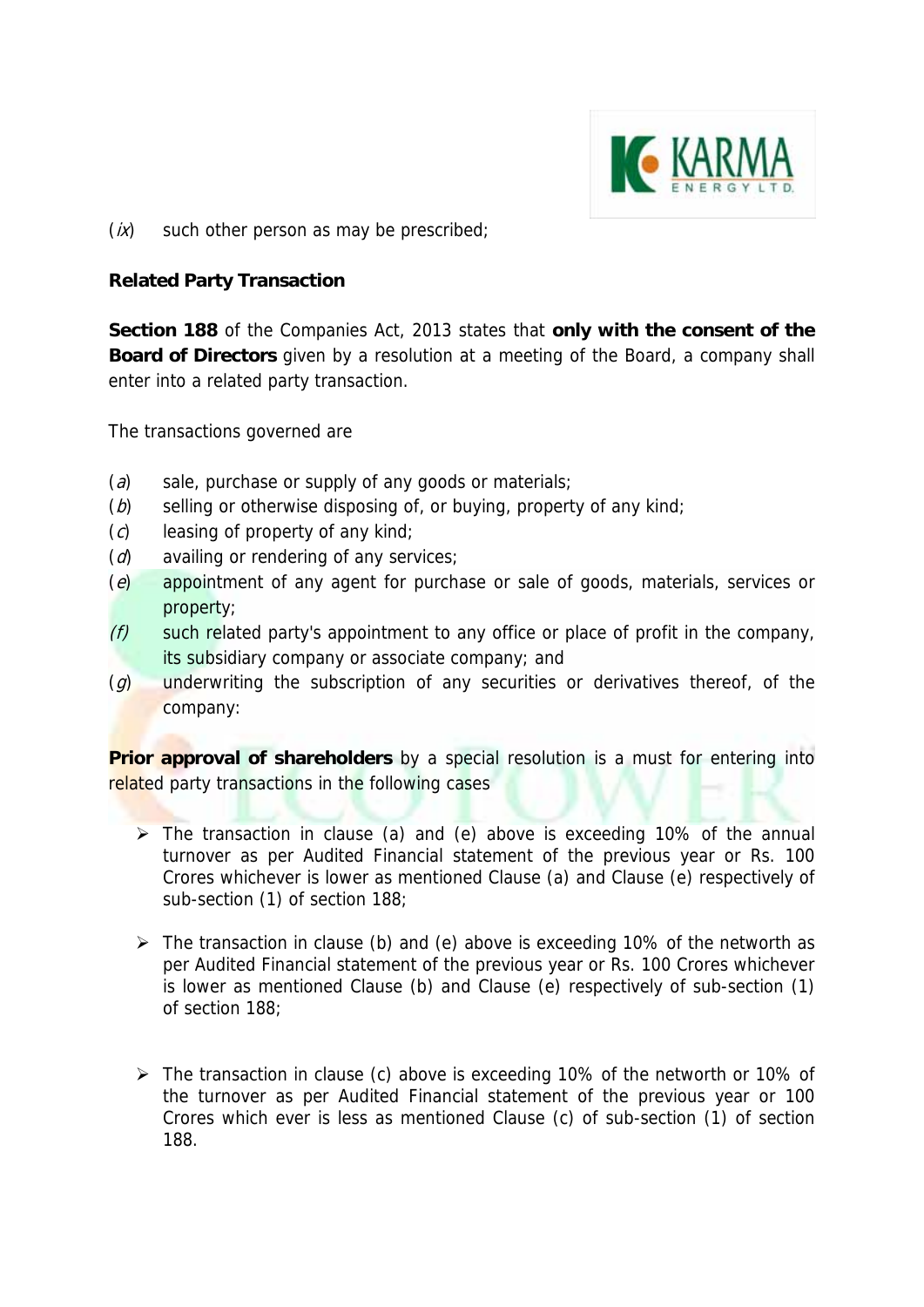

 $(ix)$  such other person as may be prescribed;

### **Related Party Transaction**

**Section 188** of the Companies Act, 2013 states that **only with the consent of the Board of Directors** given by a resolution at a meeting of the Board, a company shall enter into a related party transaction.

The transactions governed are

- (a) sale, purchase or supply of any goods or materials;
- ( $b$ ) selling or otherwise disposing of, or buying, property of any kind;
- $(c)$  leasing of property of any kind;
- $(d)$  availing or rendering of any services;
- (e) appointment of any agent for purchase or sale of goods, materials, services or property;
- $(f)$  such related party's appointment to any office or place of profit in the company, its subsidiary company or associate company; and
- $(g)$  underwriting the subscription of any securities or derivatives thereof, of the company:

**Prior approval of shareholders** by a special resolution is a must for entering into related party transactions in the following cases

- $\triangleright$  The transaction in clause (a) and (e) above is exceeding 10% of the annual turnover as per Audited Financial statement of the previous year or Rs. 100 Crores whichever is lower as mentioned Clause (a) and Clause (e) respectively of sub-section (1) of section 188;
- $\triangleright$  The transaction in clause (b) and (e) above is exceeding 10% of the networth as per Audited Financial statement of the previous year or Rs. 100 Crores whichever is lower as mentioned Clause (b) and Clause (e) respectively of sub-section (1) of section 188;
- The transaction in clause (c) above is exceeding 10% of the networth or 10% of the turnover as per Audited Financial statement of the previous year or 100 Crores which ever is less as mentioned Clause (c) of sub-section (1) of section 188.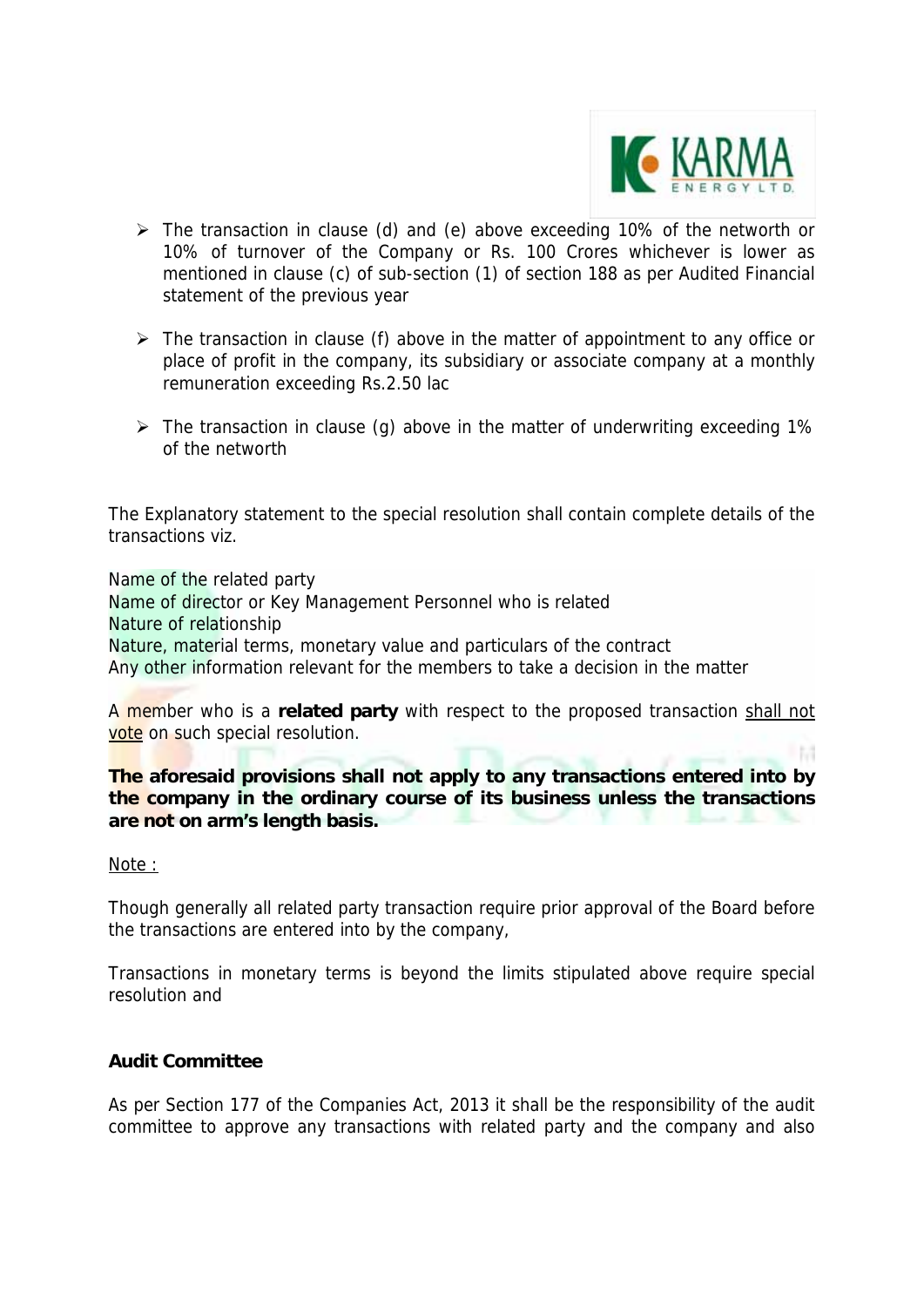

l M

- $\triangleright$  The transaction in clause (d) and (e) above exceeding 10% of the networth or 10% of turnover of the Company or Rs. 100 Crores whichever is lower as mentioned in clause (c) of sub-section (1) of section 188 as per Audited Financial statement of the previous year
- $\triangleright$  The transaction in clause (f) above in the matter of appointment to any office or place of profit in the company, its subsidiary or associate company at a monthly remuneration exceeding Rs.2.50 lac
- $\triangleright$  The transaction in clause (g) above in the matter of underwriting exceeding 1% of the networth

The Explanatory statement to the special resolution shall contain complete details of the transactions viz.

Name of the related party Name of director or Key Management Personnel who is related Nature of relationship Nature, material terms, monetary value and particulars of the contract Any other information relevant for the members to take a decision in the matter

A member who is a **related party** with respect to the proposed transaction shall not vote on such special resolution.

**The aforesaid provisions shall not apply to any transactions entered into by the company in the ordinary course of its business unless the transactions are not on arm's length basis.** 

Note :

Though generally all related party transaction require prior approval of the Board before the transactions are entered into by the company,

Transactions in monetary terms is beyond the limits stipulated above require special resolution and

### **Audit Committee**

As per Section 177 of the Companies Act, 2013 it shall be the responsibility of the audit committee to approve any transactions with related party and the company and also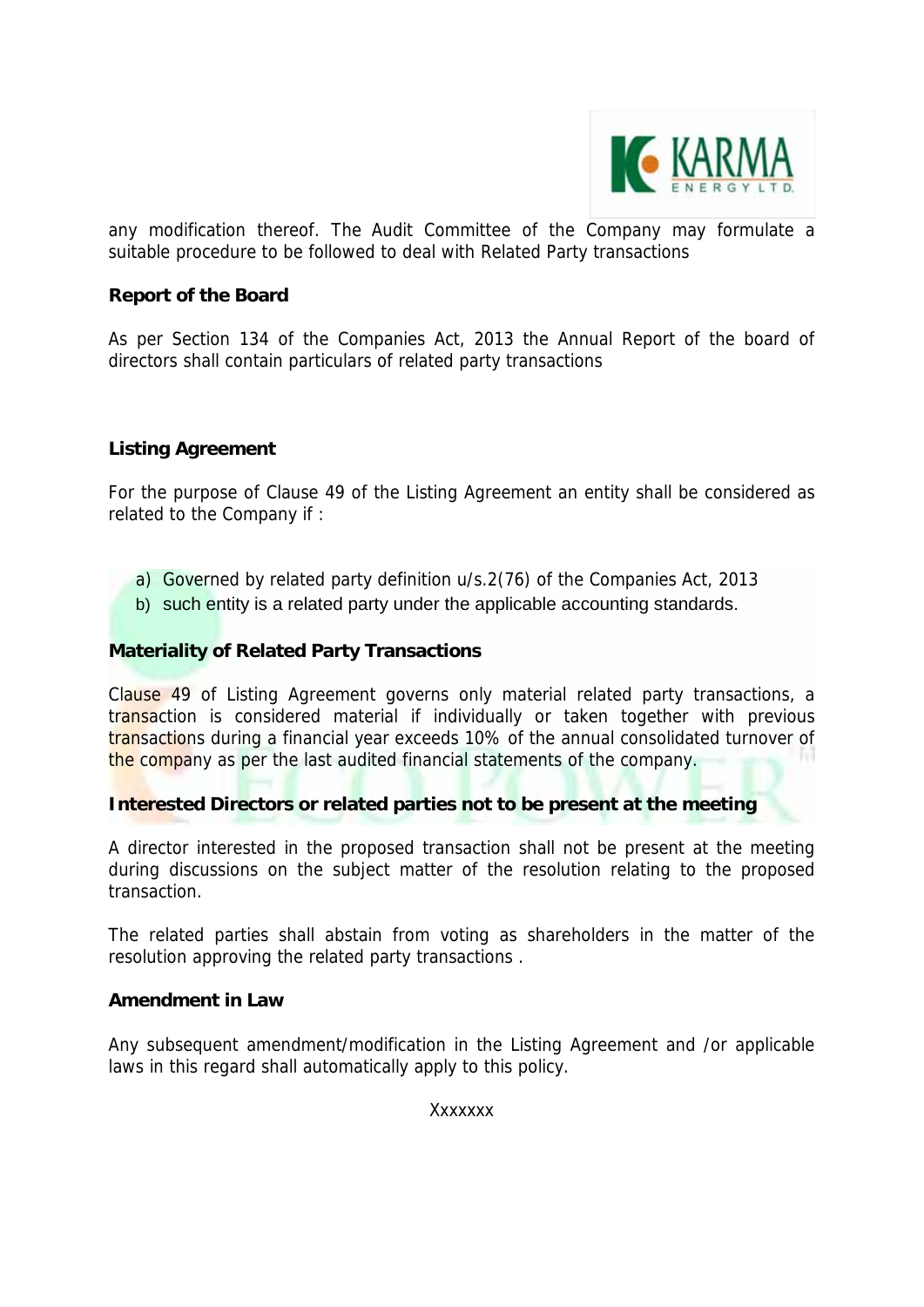

any modification thereof. The Audit Committee of the Company may formulate a suitable procedure to be followed to deal with Related Party transactions

### **Report of the Board**

As per Section 134 of the Companies Act, 2013 the Annual Report of the board of directors shall contain particulars of related party transactions

#### **Listing Agreement**

For the purpose of Clause 49 of the Listing Agreement an entity shall be considered as related to the Company if :

- a) Governed by related party definition u/s.2(76) of the Companies Act, 2013
- b) such entity is a related party under the applicable accounting standards.

#### **Materiality of Related Party Transactions**

Clause 49 of Listing Agreement governs only material related party transactions, a transaction is considered material if individually or taken together with previous transactions during a financial year exceeds 10% of the annual consolidated turnover of n. the company as per the last audited financial statements of the company.

### **Interested Directors or related parties not to be present at the meeting**

A director interested in the proposed transaction shall not be present at the meeting during discussions on the subject matter of the resolution relating to the proposed transaction.

The related parties shall abstain from voting as shareholders in the matter of the resolution approving the related party transactions .

#### **Amendment in Law**

Any subsequent amendment/modification in the Listing Agreement and /or applicable laws in this regard shall automatically apply to this policy.

Xxxxxxx